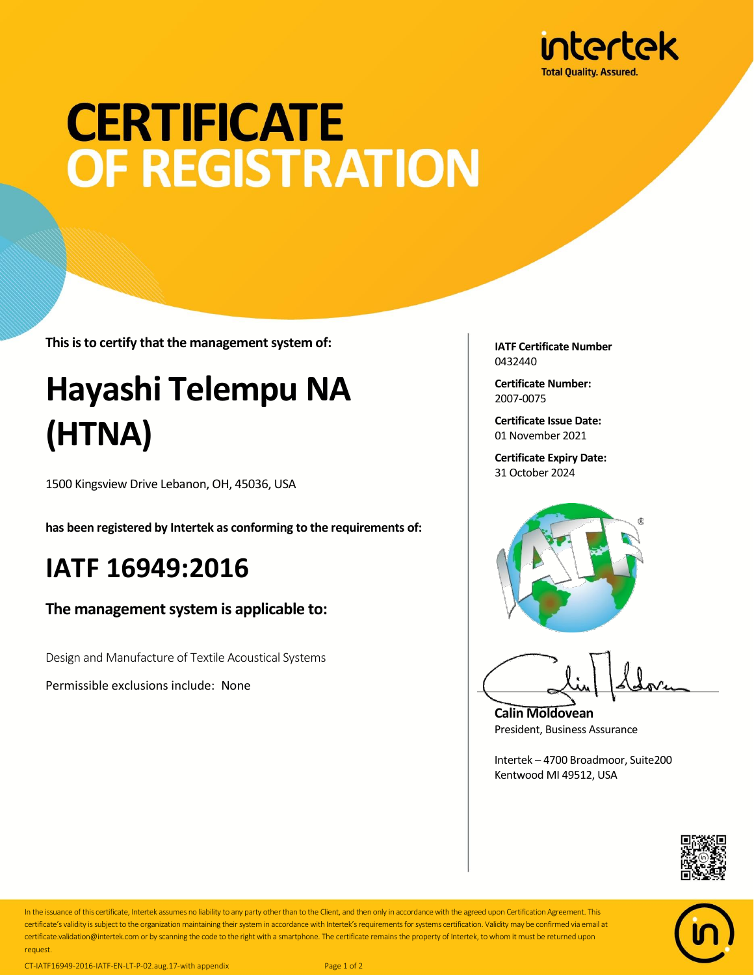

# **CERTIFICATE** OF REGISTRATION

**This is to certify that the management system of:**

## **Hayashi Telempu NA (HTNA)**

1500 Kingsview Drive Lebanon, OH, 45036, USA

**has been registered by Intertek as conforming to the requirements of:**

### **IATF 16949:2016**

#### **The management system is applicable to:**

Design and Manufacture of Textile Acoustical Systems

Permissible exclusions include: None

**IATF Certificate Number** 0432440

**Certificate Number:** 2007-0075

**Certificate Issue Date:** 01 November 2021

**Certificate Expiry Date:** 31 October 2024



**Calin Moldovean** President, Business Assurance

Intertek – 4700 Broadmoor, Suite200 Kentwood MI 49512, USA





In the issuance of this certificate, Intertek assumes no liability to any party other than to the Client, and then only in accordance with the agreed upon Certification Agreement. This certificate's validity is subject to the organization maintaining their system in accordance with Intertek's requirements forsystems certification. Validity may be confirmed via email at certificate.validation@intertek.com or by scanning the code to the right with a smartphone. The certificate remains the property of Intertek, to whom it must be returned upon request.